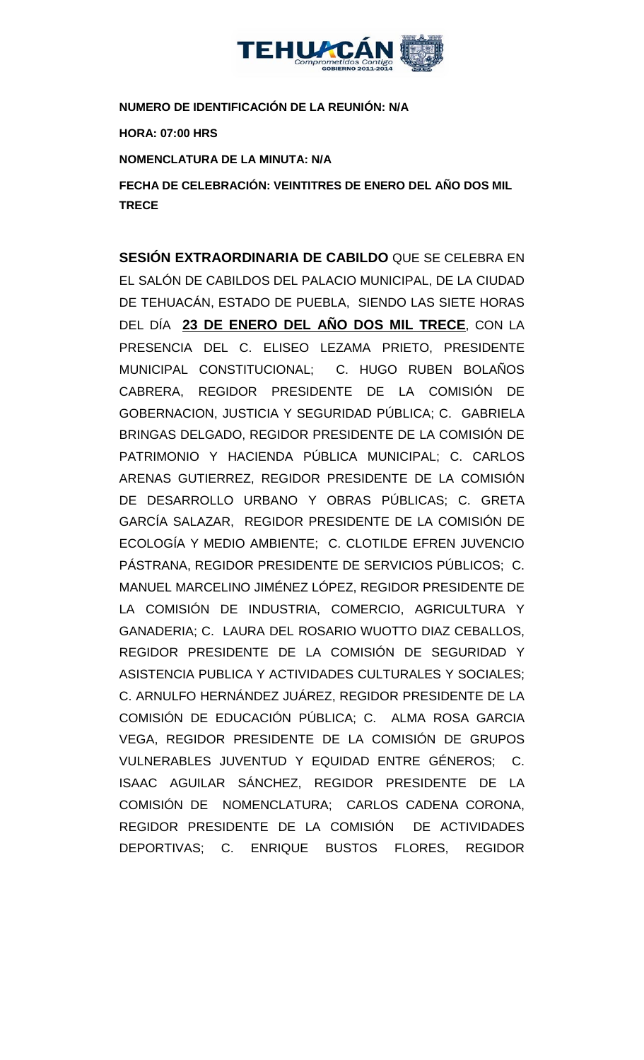

**NUMERO DE IDENTIFICACIÓN DE LA REUNIÓN: N/A**

**HORA: 07:00 HRS**

**NOMENCLATURA DE LA MINUTA: N/A**

**FECHA DE CELEBRACIÓN: VEINTITRES DE ENERO DEL AÑO DOS MIL TRECE** 

**SESIÓN EXTRAORDINARIA DE CABILDO** QUE SE CELEBRA EN EL SALÓN DE CABILDOS DEL PALACIO MUNICIPAL, DE LA CIUDAD DE TEHUACÁN, ESTADO DE PUEBLA, SIENDO LAS SIETE HORAS DEL DÍA **23 DE ENERO DEL AÑO DOS MIL TRECE**, CON LA PRESENCIA DEL C. ELISEO LEZAMA PRIETO, PRESIDENTE MUNICIPAL CONSTITUCIONAL; C. HUGO RUBEN BOLAÑOS CABRERA, REGIDOR PRESIDENTE DE LA COMISIÓN DE GOBERNACION, JUSTICIA Y SEGURIDAD PÚBLICA; C. GABRIELA BRINGAS DELGADO, REGIDOR PRESIDENTE DE LA COMISIÓN DE PATRIMONIO Y HACIENDA PÚBLICA MUNICIPAL; C. CARLOS ARENAS GUTIERREZ, REGIDOR PRESIDENTE DE LA COMISIÓN DE DESARROLLO URBANO Y OBRAS PÚBLICAS; C. GRETA GARCÍA SALAZAR, REGIDOR PRESIDENTE DE LA COMISIÓN DE ECOLOGÍA Y MEDIO AMBIENTE; C. CLOTILDE EFREN JUVENCIO PÁSTRANA, REGIDOR PRESIDENTE DE SERVICIOS PÚBLICOS; C. MANUEL MARCELINO JIMÉNEZ LÓPEZ, REGIDOR PRESIDENTE DE LA COMISIÓN DE INDUSTRIA, COMERCIO, AGRICULTURA Y GANADERIA; C. LAURA DEL ROSARIO WUOTTO DIAZ CEBALLOS, REGIDOR PRESIDENTE DE LA COMISIÓN DE SEGURIDAD Y ASISTENCIA PUBLICA Y ACTIVIDADES CULTURALES Y SOCIALES; C. ARNULFO HERNÁNDEZ JUÁREZ, REGIDOR PRESIDENTE DE LA COMISIÓN DE EDUCACIÓN PÚBLICA; C. ALMA ROSA GARCIA VEGA, REGIDOR PRESIDENTE DE LA COMISIÓN DE GRUPOS VULNERABLES JUVENTUD Y EQUIDAD ENTRE GÉNEROS; C. ISAAC AGUILAR SÁNCHEZ, REGIDOR PRESIDENTE DE LA COMISIÓN DE NOMENCLATURA; CARLOS CADENA CORONA, REGIDOR PRESIDENTE DE LA COMISIÓN DE ACTIVIDADES DEPORTIVAS; C. ENRIQUE BUSTOS FLORES, REGIDOR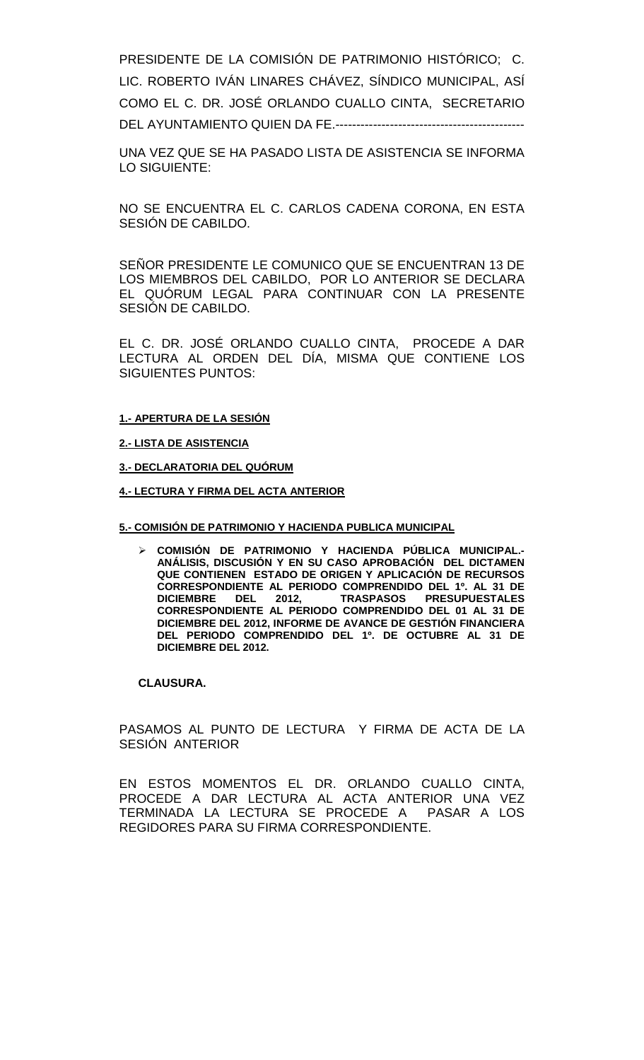PRESIDENTE DE LA COMISIÓN DE PATRIMONIO HISTÓRICO; C. LIC. ROBERTO IVÁN LINARES CHÁVEZ, SÍNDICO MUNICIPAL, ASÍ COMO EL C. DR. JOSÉ ORLANDO CUALLO CINTA, SECRETARIO DEL AYUNTAMIENTO QUIEN DA FE.---------------------------------------------

UNA VEZ QUE SE HA PASADO LISTA DE ASISTENCIA SE INFORMA LO SIGUIENTE:

NO SE ENCUENTRA EL C. CARLOS CADENA CORONA, EN ESTA SESIÓN DE CABILDO.

SEÑOR PRESIDENTE LE COMUNICO QUE SE ENCUENTRAN 13 DE LOS MIEMBROS DEL CABILDO, POR LO ANTERIOR SE DECLARA EL QUÓRUM LEGAL PARA CONTINUAR CON LA PRESENTE SESIÓN DE CABILDO.

EL C. DR. JOSÉ ORLANDO CUALLO CINTA, PROCEDE A DAR LECTURA AL ORDEN DEL DÍA, MISMA QUE CONTIENE LOS SIGUIENTES PUNTOS:

#### **1.- APERTURA DE LA SESIÓN**

**2.- LISTA DE ASISTENCIA**

**3.- DECLARATORIA DEL QUÓRUM**

**4.- LECTURA Y FIRMA DEL ACTA ANTERIOR**

#### **5.- COMISIÓN DE PATRIMONIO Y HACIENDA PUBLICA MUNICIPAL**

 **COMISIÓN DE PATRIMONIO Y HACIENDA PÚBLICA MUNICIPAL.- ANÁLISIS, DISCUSIÓN Y EN SU CASO APROBACIÓN DEL DICTAMEN QUE CONTIENEN ESTADO DE ORIGEN Y APLICACIÓN DE RECURSOS CORRESPONDIENTE AL PERIODO COMPRENDIDO DEL 1º. AL 31 DE DICIEMBRE DEL 2012, TRASPASOS PRESUPUESTALES CORRESPONDIENTE AL PERIODO COMPRENDIDO DEL 01 AL 31 DE DICIEMBRE DEL 2012, INFORME DE AVANCE DE GESTIÓN FINANCIERA DEL PERIODO COMPRENDIDO DEL 1º. DE OCTUBRE AL 31 DE DICIEMBRE DEL 2012.**

### **CLAUSURA.**

PASAMOS AL PUNTO DE LECTURA Y FIRMA DE ACTA DE LA SESIÓN ANTERIOR

EN ESTOS MOMENTOS EL DR. ORLANDO CUALLO CINTA, PROCEDE A DAR LECTURA AL ACTA ANTERIOR UNA VEZ TERMINADA LA LECTURA SE PROCEDE A PASAR A LOS REGIDORES PARA SU FIRMA CORRESPONDIENTE.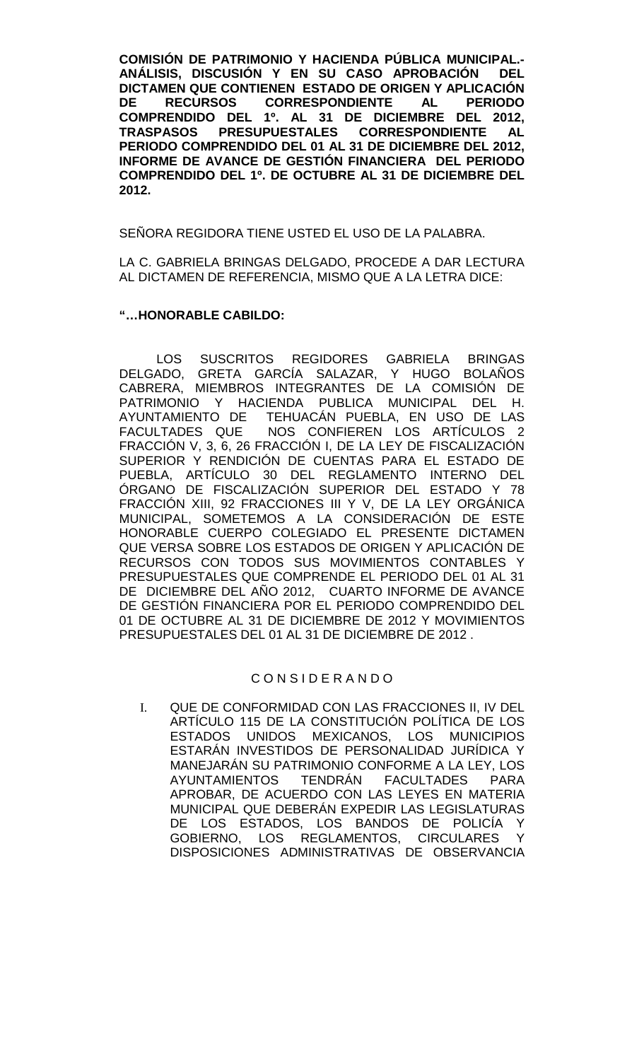**COMISIÓN DE PATRIMONIO Y HACIENDA PÚBLICA MUNICIPAL.-** ANÁLISIS, DISCUSIÓN Y EN SU CASO APROBACIÓN **DICTAMEN QUE CONTIENEN ESTADO DE ORIGEN Y APLICACIÓN CORRESPONDIENTE COMPRENDIDO DEL 1º. AL 31 DE DICIEMBRE DEL 2012, PRESUPUESTALES CORRESPONDIENTE PERIODO COMPRENDIDO DEL 01 AL 31 DE DICIEMBRE DEL 2012, INFORME DE AVANCE DE GESTIÓN FINANCIERA DEL PERIODO COMPRENDIDO DEL 1º. DE OCTUBRE AL 31 DE DICIEMBRE DEL 2012.**

SEÑORA REGIDORA TIENE USTED EL USO DE LA PALABRA.

LA C. GABRIELA BRINGAS DELGADO, PROCEDE A DAR LECTURA AL DICTAMEN DE REFERENCIA, MISMO QUE A LA LETRA DICE:

#### **"…HONORABLE CABILDO:**

LOS SUSCRITOS REGIDORES GABRIELA BRINGAS DELGADO, GRETA GARCÍA SALAZAR, Y HUGO BOLAÑOS CABRERA, MIEMBROS INTEGRANTES DE LA COMISIÓN DE PATRIMONIO Y HACIENDA PUBLICA MUNICIPAL DEL H.<br>AYUNTAMIENTO DE TEHUACÁN PUEBLA, EN USO DE LAS AYUNTAMIENTO DE TEHUACÁN PUEBLA, EN USO DE LAS<br>FACULTADES QUE NOS CONFIEREN LOS ARTÍCULOS 2 NOS CONFIEREN LOS ARTÍCULOS 2 FRACCIÓN V, 3, 6, 26 FRACCIÓN I, DE LA LEY DE FISCALIZACIÓN SUPERIOR Y RENDICIÓN DE CUENTAS PARA EL ESTADO DE PUEBLA, ARTÍCULO 30 DEL REGLAMENTO INTERNO DEL ÓRGANO DE FISCALIZACIÓN SUPERIOR DEL ESTADO Y 78 FRACCIÓN XIII, 92 FRACCIONES III Y V, DE LA LEY ORGÁNICA MUNICIPAL, SOMETEMOS A LA CONSIDERACIÓN DE ESTE HONORABLE CUERPO COLEGIADO EL PRESENTE DICTAMEN QUE VERSA SOBRE LOS ESTADOS DE ORIGEN Y APLICACIÓN DE RECURSOS CON TODOS SUS MOVIMIENTOS CONTABLES Y PRESUPUESTALES QUE COMPRENDE EL PERIODO DEL 01 AL 31 DE DICIEMBRE DEL AÑO 2012, CUARTO INFORME DE AVANCE DE GESTIÓN FINANCIERA POR EL PERIODO COMPRENDIDO DEL 01 DE OCTUBRE AL 31 DE DICIEMBRE DE 2012 Y MOVIMIENTOS PRESUPUESTALES DEL 01 AL 31 DE DICIEMBRE DE 2012 .

## C O N S I D E R A N D O

I. QUE DE CONFORMIDAD CON LAS FRACCIONES II, IV DEL ARTÍCULO 115 DE LA CONSTITUCIÓN POLÍTICA DE LOS ESTADOS UNIDOS MEXICANOS, LOS MUNICIPIOS ESTARÁN INVESTIDOS DE PERSONALIDAD JURÍDICA Y MANEJARÁN SU PATRIMONIO CONFORME A LA LEY, LOS AYUNTAMIENTOS TENDRÁN FACULTADES PARA APROBAR, DE ACUERDO CON LAS LEYES EN MATERIA MUNICIPAL QUE DEBERÁN EXPEDIR LAS LEGISLATURAS DE LOS ESTADOS, LOS BANDOS DE POLICÍA Y GOBIERNO, LOS REGLAMENTOS, CIRCULARES Y DISPOSICIONES ADMINISTRATIVAS DE OBSERVANCIA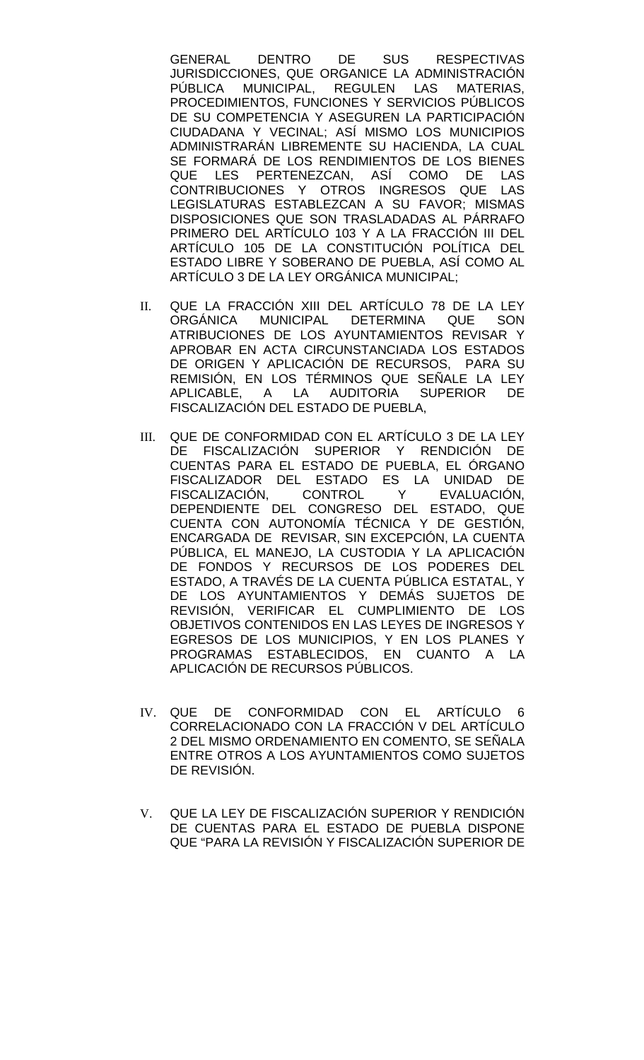GENERAL DENTRO DE SUS RESPECTIVAS JURISDICCIONES, QUE ORGANICE LA ADMINISTRACIÓN PÚBLICA MUNICIPAL, REGULEN LAS MATERIAS, PROCEDIMIENTOS, FUNCIONES Y SERVICIOS PÚBLICOS DE SU COMPETENCIA Y ASEGUREN LA PARTICIPACIÓN CIUDADANA Y VECINAL; ASÍ MISMO LOS MUNICIPIOS ADMINISTRARÁN LIBREMENTE SU HACIENDA, LA CUAL SE FORMARÁ DE LOS RENDIMIENTOS DE LOS BIENES QUE LES PERTENEZCAN, ASÍ COMO DE LAS CONTRIBUCIONES Y OTROS INGRESOS QUE LAS LEGISLATURAS ESTABLEZCAN A SU FAVOR; MISMAS DISPOSICIONES QUE SON TRASLADADAS AL PÁRRAFO PRIMERO DEL ARTÍCULO 103 Y A LA FRACCIÓN III DEL ARTÍCULO 105 DE LA CONSTITUCIÓN POLÍTICA DEL ESTADO LIBRE Y SOBERANO DE PUEBLA, ASÍ COMO AL ARTÍCULO 3 DE LA LEY ORGÁNICA MUNICIPAL;

- II. QUE LA FRACCIÓN XIII DEL ARTÍCULO 78 DE LA LEY ORGÁNICA MUNICIPAL DETERMINA QUE SON ATRIBUCIONES DE LOS AYUNTAMIENTOS REVISAR Y APROBAR EN ACTA CIRCUNSTANCIADA LOS ESTADOS DE ORIGEN Y APLICACIÓN DE RECURSOS, PARA SU REMISIÓN, EN LOS TÉRMINOS QUE SEÑALE LA LEY APLICABLE, A LA AUDITORIA SUPERIOR DE FISCALIZACIÓN DEL ESTADO DE PUEBLA,
- III. QUE DE CONFORMIDAD CON EL ARTÍCULO 3 DE LA LEY DE FISCALIZACIÓN SUPERIOR Y RENDICIÓN DE CUENTAS PARA EL ESTADO DE PUEBLA, EL ÓRGANO FISCALIZADOR DEL ESTADO ES LA UNIDAD DE<br>FISCALIZACIÓN, CONTROL Y EVALUACIÓN, FISCALIZACIÓN, CONTROL Y EVALUACIÓN, DEPENDIENTE DEL CONGRESO DEL ESTADO, QUE CUENTA CON AUTONOMÍA TÉCNICA Y DE GESTIÓN, ENCARGADA DE REVISAR, SIN EXCEPCIÓN, LA CUENTA PÚBLICA, EL MANEJO, LA CUSTODIA Y LA APLICACIÓN DE FONDOS Y RECURSOS DE LOS PODERES DEL ESTADO, A TRAVÉS DE LA CUENTA PÚBLICA ESTATAL, Y DE LOS AYUNTAMIENTOS Y DEMÁS SUJETOS DE REVISIÓN, VERIFICAR EL CUMPLIMIENTO DE LOS OBJETIVOS CONTENIDOS EN LAS LEYES DE INGRESOS Y EGRESOS DE LOS MUNICIPIOS, Y EN LOS PLANES Y PROGRAMAS ESTABLECIDOS, EN CUANTO A LA APLICACIÓN DE RECURSOS PÚBLICOS.
- IV. QUE DE CONFORMIDAD CON EL ARTÍCULO 6 CORRELACIONADO CON LA FRACCIÓN V DEL ARTÍCULO 2 DEL MISMO ORDENAMIENTO EN COMENTO, SE SEÑALA ENTRE OTROS A LOS AYUNTAMIENTOS COMO SUJETOS DE REVISIÓN.
- V. QUE LA LEY DE FISCALIZACIÓN SUPERIOR Y RENDICIÓN DE CUENTAS PARA EL ESTADO DE PUEBLA DISPONE QUE "PARA LA REVISIÓN Y FISCALIZACIÓN SUPERIOR DE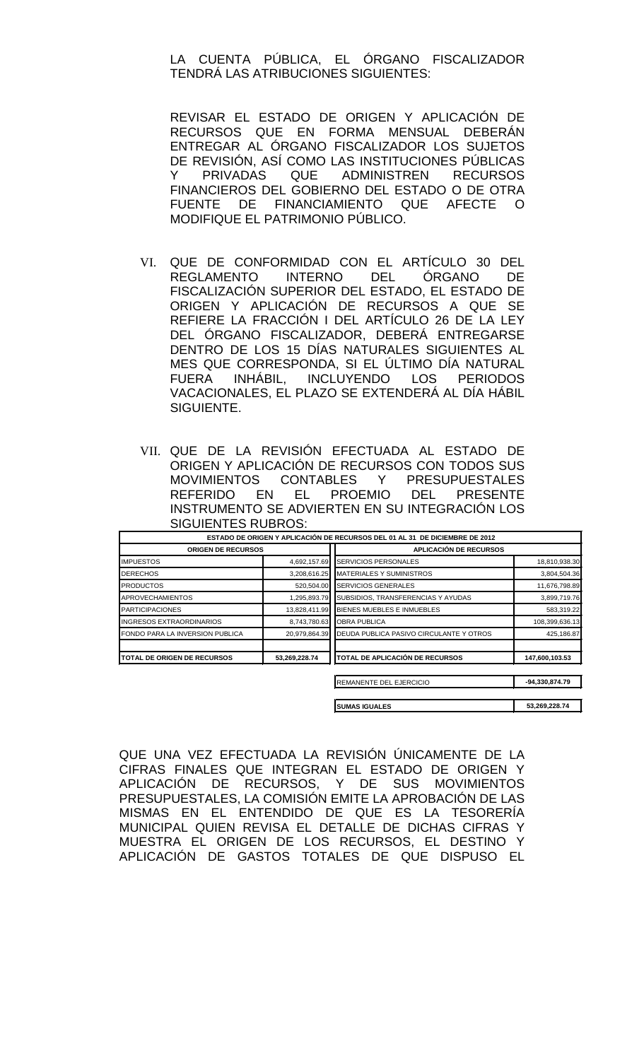### LA CUENTA PÚBLICA, EL ÓRGANO FISCALIZADOR TENDRÁ LAS ATRIBUCIONES SIGUIENTES:

REVISAR EL ESTADO DE ORIGEN Y APLICACIÓN DE RECURSOS QUE EN FORMA MENSUAL DEBERÁN ENTREGAR AL ÓRGANO FISCALIZADOR LOS SUJETOS DE REVISIÓN, ASÍ COMO LAS INSTITUCIONES PÚBLICAS Y PRIVADAS QUE ADMINISTREN RECURSOS FINANCIEROS DEL GOBIERNO DEL ESTADO O DE OTRA FUENTE DE FINANCIAMIENTO QUE AFECTE O MODIFIQUE EL PATRIMONIO PÚBLICO.

- VI. QUE DE CONFORMIDAD CON EL ARTÍCULO 30 DEL REGLAMENTO INTERNO DEL ÓRGANO DE FISCALIZACIÓN SUPERIOR DEL ESTADO, EL ESTADO DE ORIGEN Y APLICACIÓN DE RECURSOS A QUE SE REFIERE LA FRACCIÓN I DEL ARTÍCULO 26 DE LA LEY DEL ÓRGANO FISCALIZADOR, DEBERÁ ENTREGARSE DENTRO DE LOS 15 DÍAS NATURALES SIGUIENTES AL MES QUE CORRESPONDA, SI EL ÚLTIMO DÍA NATURAL FUERA INHÁBIL, INCLUYENDO LOS PERIODOS VACACIONALES, EL PLAZO SE EXTENDERÁ AL DÍA HÁBIL SIGUIENTE.
- VII. QUE DE LA REVISIÓN EFECTUADA AL ESTADO DE ORIGEN Y APLICACIÓN DE RECURSOS CON TODOS SUS MOVIMIENTOS CONTABLES Y PRESUPUESTALES REFERIDO EN EL PROEMIO DEL PRESENTE INSTRUMENTO SE ADVIERTEN EN SU INTEGRACIÓN LOS SIGUIENTES RUBROS:

|                                     |               | ESTADO DE ORIGEN Y APLICACIÓN DE RECURSOS DEL 01 AL 31 DE DICIEMBRE DE 2012 |                |
|-------------------------------------|---------------|-----------------------------------------------------------------------------|----------------|
| <b>ORIGEN DE RECURSOS</b>           |               | <b>APLICACIÓN DE RECURSOS</b>                                               |                |
| <b>IMPUESTOS</b>                    | 4,692,157.69  | SERVICIOS PERSONALES                                                        | 18,810,938.30  |
| <b>DERECHOS</b>                     | 3,208,616.25  | <b>MATERIALES Y SUMINISTROS</b>                                             | 3,804,504.36   |
| <b>PRODUCTOS</b>                    | 520,504.00    | <b>SERVICIOS GENERALES</b>                                                  | 11,676,798.89  |
| <b>APROVECHAMIENTOS</b>             | 1,295,893.79  | SUBSIDIOS, TRANSFERENCIAS Y AYUDAS                                          | 3,899,719.76   |
| <b>PARTICIPACIONES</b>              | 13,828,411.99 | BIENES MUEBLES E INMUEBLES                                                  | 583,319.22     |
| INGRESOS EXTRAORDINARIOS            | 8,743,780.63  | <b>OBRA PUBLICA</b>                                                         | 108,399,636.13 |
| FONDO PARA LA INVERSION PUBLICA     | 20,979,864.39 | DEUDA PUBLICA PASIVO CIRCULANTE Y OTROS                                     | 425,186.87     |
| <b>ITOTAL DE ORIGEN DE RECURSOS</b> | 53,269,228.74 | <b>TOTAL DE APLICACIÓN DE RECURSOS</b>                                      | 147,600,103.53 |
|                                     |               | REMANENTE DEL EJERCICIO                                                     | -94,330,874.79 |
|                                     |               | <b>SUMAS IGUALES</b>                                                        | 53,269,228.74  |

QUE UNA VEZ EFECTUADA LA REVISIÓN ÚNICAMENTE DE LA CIFRAS FINALES QUE INTEGRAN EL ESTADO DE ORIGEN Y APLICACIÓN DE RECURSOS, Y DE SUS MOVIMIENTOS PRESUPUESTALES, LA COMISIÓN EMITE LA APROBACIÓN DE LAS MISMAS EN EL ENTENDIDO DE QUE ES LA TESORERÍA MUNICIPAL QUIEN REVISA EL DETALLE DE DICHAS CIFRAS Y MUESTRA EL ORIGEN DE LOS RECURSOS, EL DESTINO Y APLICACIÓN DE GASTOS TOTALES DE QUE DISPUSO EL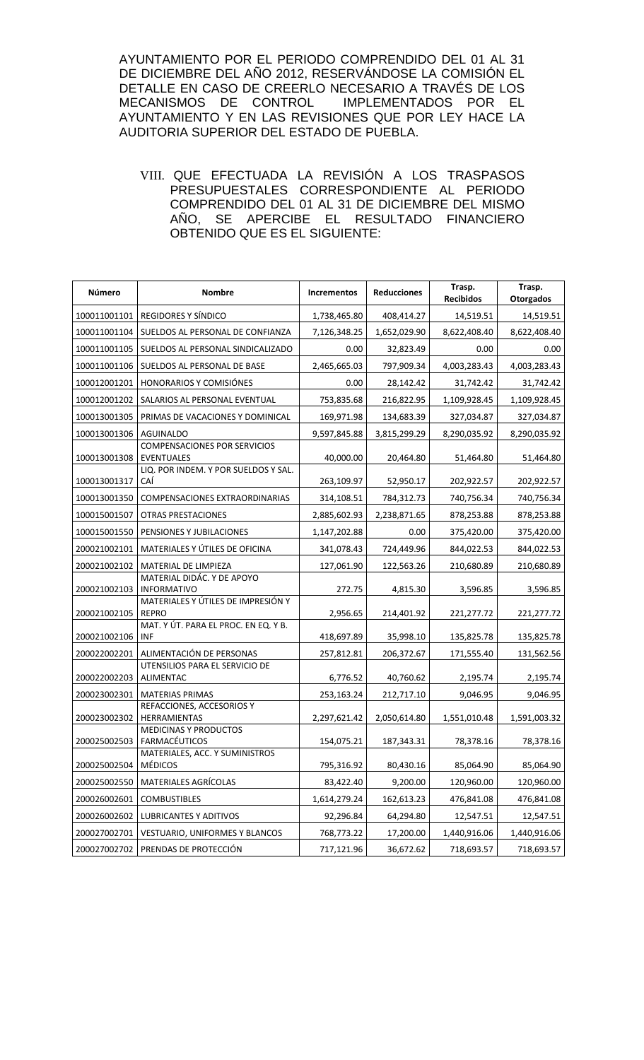AYUNTAMIENTO POR EL PERIODO COMPRENDIDO DEL 01 AL 31 DE DICIEMBRE DEL AÑO 2012, RESERVÁNDOSE LA COMISIÓN EL DETALLE EN CASO DE CREERLO NECESARIO A TRAVÉS DE LOS<br>MECANISMOS DE CONTROL IMPLEMENTADOS POR EL MECANISMOS DE CONTROL AYUNTAMIENTO Y EN LAS REVISIONES QUE POR LEY HACE LA AUDITORIA SUPERIOR DEL ESTADO DE PUEBLA.

VIII. QUE EFECTUADA LA REVISIÓN A LOS TRASPASOS PRESUPUESTALES CORRESPONDIENTE AL PERIODO COMPRENDIDO DEL 01 AL 31 DE DICIEMBRE DEL MISMO AÑO, SE APERCIBE EL RESULTADO FINANCIERO OBTENIDO QUE ES EL SIGUIENTE:

| Número       | <b>Nombre</b>                                      | <b>Incrementos</b> | <b>Reducciones</b> | Trasp.<br><b>Recibidos</b> | Trasp.<br>Otorgados |
|--------------|----------------------------------------------------|--------------------|--------------------|----------------------------|---------------------|
| 100011001101 | REGIDORES Y SÍNDICO                                | 1,738,465.80       | 408,414.27         | 14,519.51                  | 14,519.51           |
| 100011001104 | SUELDOS AL PERSONAL DE CONFIANZA                   | 7,126,348.25       | 1,652,029.90       | 8,622,408.40               | 8,622,408.40        |
| 100011001105 | SUELDOS AL PERSONAL SINDICALIZADO                  | 0.00               | 32,823.49          | 0.00                       | 0.00                |
| 100011001106 | SUELDOS AL PERSONAL DE BASE                        | 2,465,665.03       | 797,909.34         | 4,003,283.43               | 4,003,283.43        |
| 100012001201 | <b>HONORARIOS Y COMISIÓNES</b>                     | 0.00               | 28,142.42          | 31,742.42                  | 31,742.42           |
| 100012001202 | SALARIOS AL PERSONAL EVENTUAL                      | 753,835.68         | 216,822.95         | 1,109,928.45               | 1,109,928.45        |
| 100013001305 | PRIMAS DE VACACIONES Y DOMINICAL                   | 169,971.98         | 134,683.39         | 327,034.87                 | 327,034.87          |
| 100013001306 | <b>AGUINALDO</b>                                   | 9,597,845.88       | 3,815,299.29       | 8,290,035.92               | 8,290,035.92        |
| 100013001308 | <b>COMPENSACIONES POR SERVICIOS</b><br>EVENTUALES  | 40,000.00          | 20,464.80          | 51,464.80                  | 51,464.80           |
| 100013001317 | LIQ. POR INDEM. Y POR SUELDOS Y SAL.<br>CAÍ        | 263,109.97         | 52,950.17          | 202,922.57                 | 202,922.57          |
| 100013001350 | COMPENSACIONES EXTRAORDINARIAS                     | 314,108.51         | 784,312.73         | 740,756.34                 | 740,756.34          |
| 100015001507 | <b>OTRAS PRESTACIONES</b>                          | 2,885,602.93       | 2,238,871.65       | 878,253.88                 | 878,253.88          |
| 100015001550 | PENSIONES Y JUBILACIONES                           | 1,147,202.88       | 0.00               | 375,420.00                 | 375,420.00          |
| 200021002101 | MATERIALES Y ÚTILES DE OFICINA                     | 341,078.43         | 724,449.96         | 844,022.53                 | 844,022.53          |
| 200021002102 | MATERIAL DE LIMPIEZA                               | 127,061.90         | 122,563.26         | 210,680.89                 | 210,680.89          |
| 200021002103 | MATERIAL DIDÁC. Y DE APOYO<br><b>INFORMATIVO</b>   | 272.75             | 4,815.30           | 3,596.85                   | 3,596.85            |
| 200021002105 | MATERIALES Y ÚTILES DE IMPRESIÓN Y<br><b>REPRO</b> | 2,956.65           | 214,401.92         | 221,277.72                 | 221,277.72          |
| 200021002106 | MAT. Y ÚT. PARA EL PROC. EN EQ. Y B.<br>INF        | 418,697.89         | 35,998.10          | 135,825.78                 | 135,825.78          |
| 200022002201 | ALIMENTACIÓN DE PERSONAS                           | 257,812.81         | 206,372.67         | 171,555.40                 | 131,562.56          |
| 200022002203 | UTENSILIOS PARA EL SERVICIO DE<br>ALIMENTAC        | 6,776.52           | 40,760.62          | 2,195.74                   | 2,195.74            |
| 200023002301 | <b>MATERIAS PRIMAS</b>                             | 253,163.24         | 212,717.10         | 9,046.95                   | 9,046.95            |
| 200023002302 | REFACCIONES, ACCESORIOS Y<br><b>HERRAMIENTAS</b>   | 2,297,621.42       | 2,050,614.80       | 1,551,010.48               | 1,591,003.32        |
| 200025002503 | <b>MEDICINAS Y PRODUCTOS</b><br>FARMACÉUTICOS      | 154,075.21         | 187,343.31         | 78,378.16                  | 78,378.16           |
| 200025002504 | MATERIALES, ACC. Y SUMINISTROS<br><b>MÉDICOS</b>   | 795,316.92         | 80,430.16          | 85,064.90                  | 85,064.90           |
| 200025002550 | MATERIALES AGRÍCOLAS                               | 83,422.40          | 9,200.00           | 120,960.00                 | 120,960.00          |
| 200026002601 | <b>COMBUSTIBLES</b>                                | 1,614,279.24       | 162,613.23         | 476,841.08                 | 476,841.08          |
| 200026002602 | LUBRICANTES Y ADITIVOS                             | 92,296.84          | 64,294.80          | 12,547.51                  | 12,547.51           |
| 200027002701 | VESTUARIO, UNIFORMES Y BLANCOS                     | 768,773.22         | 17,200.00          | 1,440,916.06               | 1,440,916.06        |
| 200027002702 | PRENDAS DE PROTECCIÓN                              | 717,121.96         | 36,672.62          | 718,693.57                 | 718,693.57          |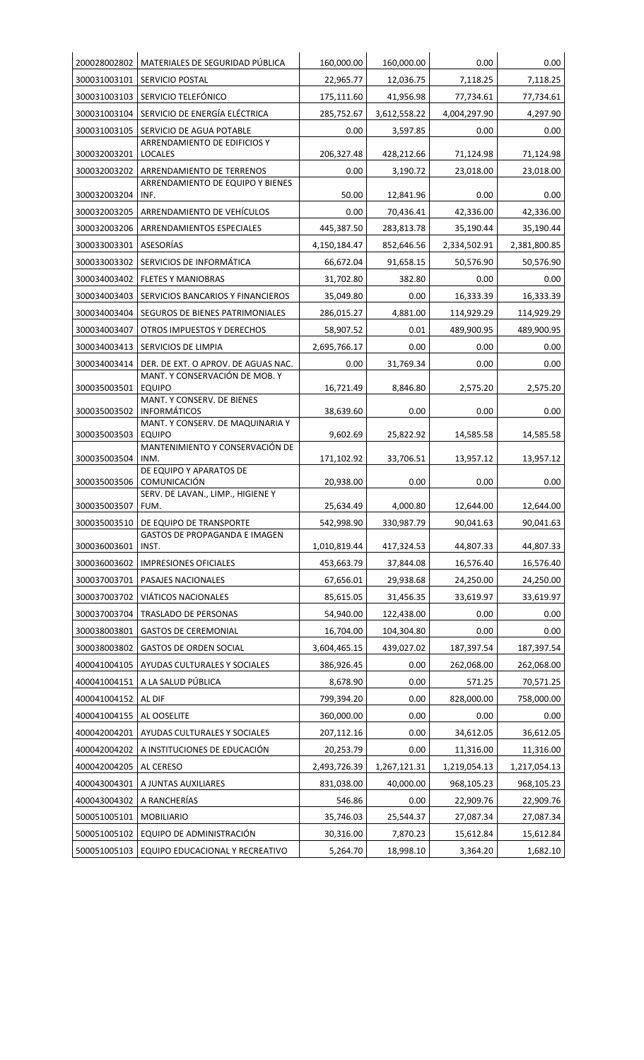| 200028002802                 | MATERIALES DE SEGURIDAD PÚBLICA                                       | 160,000.00   | 160,000.00             | 0.00              | 0.00                   |
|------------------------------|-----------------------------------------------------------------------|--------------|------------------------|-------------------|------------------------|
| 300031003101                 | SERVICIO POSTAL                                                       | 22,965.77    | 12,036.75              | 7,118.25          | 7,118.25               |
| 300031003103                 | SERVICIO TELEFÓNICO                                                   | 175,111.60   | 41,956.98              | 77,734.61         | 77,734.61              |
| 300031003104                 | SERVICIO DE ENERGÍA ELÉCTRICA                                         | 285,752.67   | 3,612,558.22           | 4,004,297.90      | 4,297.90               |
| 300031003105                 | SERVICIO DE AGUA POTABLE                                              | 0.00         | 3,597.85               | 0.00              | 0.00                   |
| 300032003201                 | ARRENDAMIENTO DE EDIFICIOS Y<br><b>LOCALES</b>                        | 206,327.48   | 428,212.66             | 71,124.98         | 71,124.98              |
| 300032003202                 | ARRENDAMIENTO DE TERRENOS                                             | 0.00         | 3,190.72               | 23,018.00         | 23,018.00              |
|                              | ARRENDAMIENTO DE EQUIPO Y BIENES                                      | 50.00        |                        |                   |                        |
| 300032003204<br>300032003205 | INF.<br>ARRENDAMIENTO DE VEHÍCULOS                                    | 0.00         | 12,841.96<br>70,436.41 | 0.00<br>42,336.00 | 0.00                   |
| 300032003206                 | ARRENDAMIENTOS ESPECIALES                                             | 445,387.50   | 283,813.78             | 35,190.44         | 42,336.00<br>35,190.44 |
| 300033003301                 | ASESORÍAS                                                             | 4,150,184.47 | 852,646.56             | 2,334,502.91      | 2,381,800.85           |
| 300033003302                 | SERVICIOS DE INFORMÁTICA                                              | 66,672.04    | 91,658.15              | 50,576.90         | 50,576.90              |
| 300034003402                 |                                                                       |              |                        |                   |                        |
|                              | <b>FLETES Y MANIOBRAS</b>                                             | 31,702.80    | 382.80                 | 0.00              | 0.00                   |
| 300034003403                 | SERVICIOS BANCARIOS Y FINANCIEROS                                     | 35,049.80    | 0.00                   | 16,333.39         | 16,333.39              |
| 300034003404                 | SEGUROS DE BIENES PATRIMONIALES                                       | 286,015.27   | 4,881.00               | 114,929.29        | 114,929.29             |
| 300034003407                 | OTROS IMPUESTOS Y DERECHOS                                            | 58,907.52    | 0.01                   | 489,900.95        | 489,900.95             |
| 300034003413                 | SERVICIOS DE LIMPIA                                                   | 2,695,766.17 | 0.00                   | 0.00              | 0.00                   |
| 300034003414                 | DER. DE EXT. O APROV. DE AGUAS NAC.<br>MANT. Y CONSERVACIÓN DE MOB. Y | 0.00         | 31,769.34              | 0.00              | 0.00                   |
| 300035003501                 | <b>EQUIPO</b>                                                         | 16,721.49    | 8,846.80               | 2,575.20          | 2,575.20               |
| 300035003502                 | MANT. Y CONSERV. DE BIENES<br><b>INFORMÁTICOS</b>                     | 38,639.60    | 0.00                   | 0.00              | 0.00                   |
|                              | MANT. Y CONSERV. DE MAQUINARIA Y                                      |              |                        |                   |                        |
| 300035003503                 | <b>EQUIPO</b><br>MANTENIMIENTO Y CONSERVACIÓN DE                      | 9,602.69     | 25,822.92              | 14,585.58         | 14,585.58              |
| 300035003504                 | INM.                                                                  | 171,102.92   | 33,706.51              | 13,957.12         | 13,957.12              |
|                              | DE EQUIPO Y APARATOS DE                                               |              |                        |                   |                        |
| 300035003506                 | COMUNICACIÓN<br>SERV. DE LAVAN., LIMP., HIGIENE Y                     | 20,938.00    | 0.00                   | 0.00              | 0.00                   |
| 300035003507                 | FUM.                                                                  | 25,634.49    | 4,000.80               | 12,644.00         | 12,644.00              |
|                              | 300035003510 DE EQUIPO DE TRANSPORTE                                  | 542,998.90   | 330,987.79             | 90,041.63         | 90,041.63              |
| 300036003601                 | GASTOS DE PROPAGANDA E IMAGEN<br>INST.                                | 1,010,819.44 | 417,324.53             | 44,807.33         | 44,807.33              |
| 300036003602                 | <b>IMPRESIONES OFICIALES</b>                                          | 453,663.79   | 37,844.08              | 16,576.40         | 16,576.40              |
| 300037003701                 | PASAJES NACIONALES                                                    | 67,656.01    | 29,938.68              | 24,250.00         | 24,250.00              |
| 300037003702                 | VIÁTICOS NACIONALES                                                   | 85,615.05    | 31,456.35              | 33,619.97         | 33,619.97              |
| 300037003704                 | TRASLADO DE PERSONAS                                                  | 54,940.00    | 122,438.00             | 0.00              | 0.00                   |
| 300038003801                 | <b>GASTOS DE CEREMONIAL</b>                                           | 16,704.00    | 104,304.80             | 0.00              | 0.00                   |
| 300038003802                 | <b>GASTOS DE ORDEN SOCIAL</b>                                         | 3,604,465.15 | 439,027.02             | 187,397.54        | 187,397.54             |
| 400041004105                 | AYUDAS CULTURALES Y SOCIALES                                          | 386,926.45   | 0.00                   | 262,068.00        | 262,068.00             |
| 400041004151                 | A LA SALUD PÚBLICA                                                    | 8,678.90     | 0.00                   | 571.25            | 70,571.25              |
| 400041004152                 | AL DIF                                                                | 799,394.20   | 0.00                   | 828,000.00        | 758,000.00             |
| 400041004155                 | AL OOSELITE                                                           | 360,000.00   | 0.00                   | 0.00              | 0.00                   |
| 400042004201                 | AYUDAS CULTURALES Y SOCIALES                                          | 207,112.16   | 0.00                   | 34,612.05         | 36,612.05              |
| 400042004202                 | A INSTITUCIONES DE EDUCACIÓN                                          | 20,253.79    | 0.00                   | 11,316.00         | 11,316.00              |
| 400042004205                 | AL CERESO                                                             | 2,493,726.39 | 1,267,121.31           | 1,219,054.13      | 1,217,054.13           |
| 400043004301                 | A JUNTAS AUXILIARES                                                   | 831,038.00   | 40,000.00              | 968,105.23        | 968,105.23             |
| 400043004302                 | A RANCHERÍAS                                                          | 546.86       | 0.00                   | 22,909.76         | 22,909.76              |
| 500051005101                 | <b>MOBILIARIO</b>                                                     | 35,746.03    | 25,544.37              | 27,087.34         | 27,087.34              |
| 500051005102                 | EQUIPO DE ADMINISTRACIÓN                                              | 30,316.00    | 7,870.23               | 15,612.84         | 15,612.84              |
| 500051005103                 | EQUIPO EDUCACIONAL Y RECREATIVO                                       | 5,264.70     | 18,998.10              | 3,364.20          | 1,682.10               |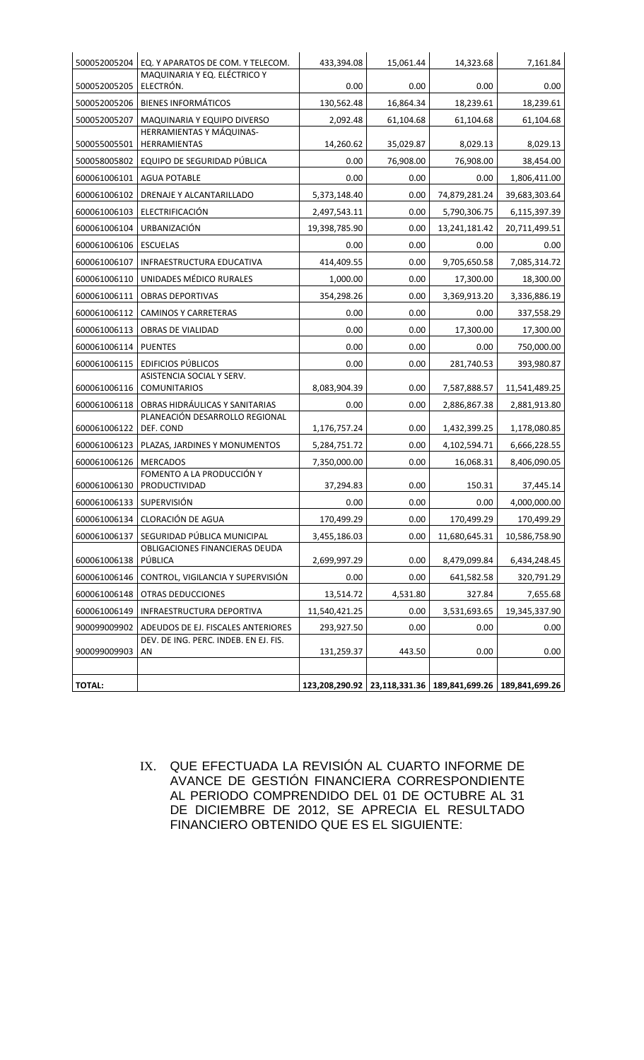| 500052005204             | EQ. Y APARATOS DE COM. Y TELECOM.                | 433,394.08    | 15,061.44 | 14,323.68                                                  | 7,161.84      |
|--------------------------|--------------------------------------------------|---------------|-----------|------------------------------------------------------------|---------------|
| 500052005205             | MAQUINARIA Y EQ. ELÉCTRICO Y<br>ELECTRÓN.        | 0.00          | 0.00      | 0.00                                                       | 0.00          |
| 500052005206             | <b>BIENES INFORMÁTICOS</b>                       | 130,562.48    | 16,864.34 | 18,239.61                                                  | 18,239.61     |
| 500052005207             | MAQUINARIA Y EQUIPO DIVERSO                      | 2,092.48      | 61,104.68 | 61,104.68                                                  | 61,104.68     |
| 500055005501             | HERRAMIENTAS Y MÁQUINAS-<br>HERRAMIENTAS         | 14,260.62     | 35,029.87 | 8,029.13                                                   | 8,029.13      |
| 500058005802             | EQUIPO DE SEGURIDAD PÚBLICA                      | 0.00          | 76,908.00 | 76,908.00                                                  | 38,454.00     |
| 600061006101             | <b>AGUA POTABLE</b>                              | 0.00          | 0.00      | 0.00                                                       | 1,806,411.00  |
| 600061006102             | DRENAJE Y ALCANTARILLADO                         | 5,373,148.40  | 0.00      | 74,879,281.24                                              | 39,683,303.64 |
| 600061006103             | ELECTRIFICACIÓN                                  | 2,497,543.11  | 0.00      | 5,790,306.75                                               | 6,115,397.39  |
| 600061006104             | <b>URBANIZACIÓN</b>                              | 19,398,785.90 | 0.00      | 13,241,181.42                                              | 20,711,499.51 |
| 600061006106             | <b>ESCUELAS</b>                                  | 0.00          | 0.00      | 0.00                                                       | 0.00          |
| 600061006107             | <b>INFRAESTRUCTURA EDUCATIVA</b>                 | 414,409.55    | 0.00      | 9,705,650.58                                               | 7,085,314.72  |
| 600061006110             | UNIDADES MÉDICO RURALES                          | 1,000.00      | 0.00      | 17,300.00                                                  | 18,300.00     |
| 600061006111             | <b>OBRAS DEPORTIVAS</b>                          | 354,298.26    | 0.00      | 3,369,913.20                                               | 3,336,886.19  |
| 600061006112             | <b>CAMINOS Y CARRETERAS</b>                      | 0.00          | 0.00      | 0.00                                                       | 337,558.29    |
| 600061006113             | <b>OBRAS DE VIALIDAD</b>                         | 0.00          | 0.00      | 17,300.00                                                  | 17,300.00     |
| 600061006114             | <b>PUENTES</b>                                   | 0.00          | 0.00      | 0.00                                                       | 750,000.00    |
| 600061006115             | <b>EDIFICIOS PÚBLICOS</b>                        | 0.00          | 0.00      | 281,740.53                                                 | 393,980.87    |
| 600061006116             | ASISTENCIA SOCIAL Y SERV.<br><b>COMUNITARIOS</b> | 8,083,904.39  | 0.00      | 7,587,888.57                                               | 11,541,489.25 |
| 600061006118             | OBRAS HIDRÁULICAS Y SANITARIAS                   | 0.00          | 0.00      | 2,886,867.38                                               | 2,881,913.80  |
| 600061006122             | PLANEACIÓN DESARROLLO REGIONAL<br>DEF. COND      | 1,176,757.24  | 0.00      | 1,432,399.25                                               | 1,178,080.85  |
| 600061006123             | PLAZAS, JARDINES Y MONUMENTOS                    | 5,284,751.72  | 0.00      | 4,102,594.71                                               | 6,666,228.55  |
| 600061006126             | <b>MERCADOS</b>                                  | 7,350,000.00  | 0.00      | 16,068.31                                                  | 8,406,090.05  |
|                          | FOMENTO A LA PRODUCCIÓN Y                        |               |           |                                                            |               |
| 600061006130             | PRODUCTIVIDAD                                    | 37,294.83     | 0.00      | 150.31                                                     | 37,445.14     |
| 600061006133 SUPERVISIÓN |                                                  | 0.00          | 0.00      | 0.00                                                       | 4,000,000.00  |
|                          | 600061006134   CLORACIÓN DE AGUA                 | 170,499.29    | 0.00      | 170,499.29                                                 | 170,499.29    |
| 600061006137             | SEGURIDAD PÚBLICA MUNICIPAL                      | 3,455,186.03  | 0.00      | 11,680,645.31                                              | 10,586,758.90 |
| 600061006138             | OBLIGACIONES FINANCIERAS DEUDA<br>PÚBLICA        | 2,699,997.29  | 0.00      | 8,479,099.84                                               | 6,434,248.45  |
| 600061006146             | CONTROL, VIGILANCIA Y SUPERVISIÓN                | 0.00          | 0.00      | 641,582.58                                                 | 320,791.29    |
| 600061006148             | OTRAS DEDUCCIONES                                | 13,514.72     | 4,531.80  | 327.84                                                     | 7,655.68      |
| 600061006149             | INFRAESTRUCTURA DEPORTIVA                        | 11,540,421.25 | 0.00      | 3,531,693.65                                               | 19,345,337.90 |
| 900099009902             | ADEUDOS DE EJ. FISCALES ANTERIORES               | 293,927.50    | 0.00      | 0.00                                                       | 0.00          |
| 900099009903             | DEV. DE ING. PERC. INDEB. EN EJ. FIS.<br>AN      | 131,259.37    | 443.50    | 0.00                                                       | 0.00          |
|                          |                                                  |               |           |                                                            |               |
| <b>TOTAL:</b>            |                                                  |               |           | 123,208,290.92 23,118,331.36 189,841,699.26 189,841,699.26 |               |

IX. QUE EFECTUADA LA REVISIÓN AL CUARTO INFORME DE AVANCE DE GESTIÓN FINANCIERA CORRESPONDIENTE AL PERIODO COMPRENDIDO DEL 01 DE OCTUBRE AL 31 DE DICIEMBRE DE 2012, SE APRECIA EL RESULTADO FINANCIERO OBTENIDO QUE ES EL SIGUIENTE: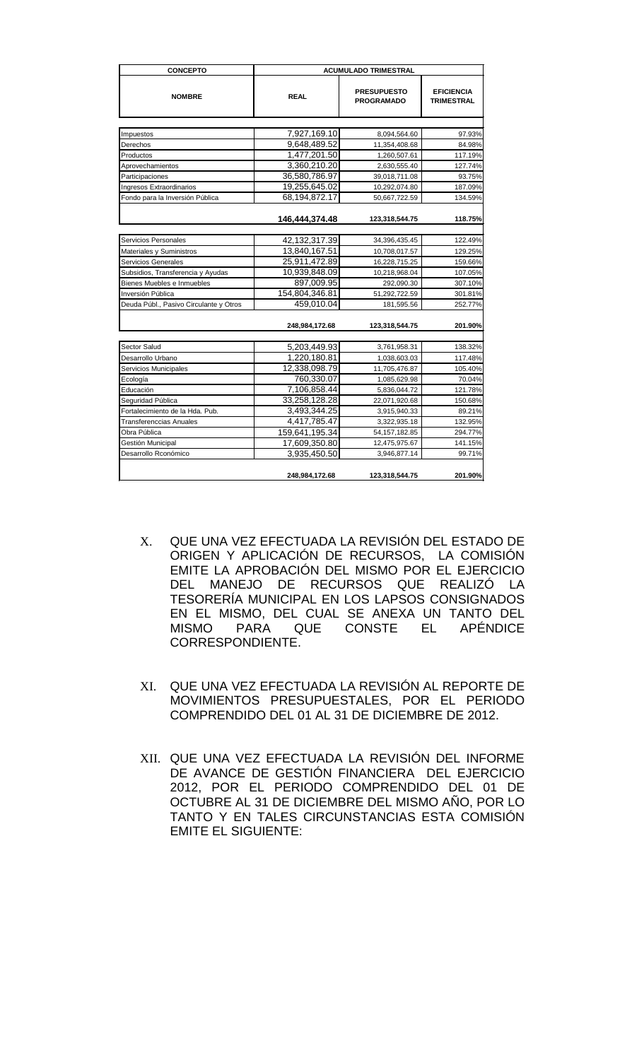| <b>CONCEPTO</b>                        | <b>ACUMULADO TRIMESTRAL</b> |                                         |                                        |  |
|----------------------------------------|-----------------------------|-----------------------------------------|----------------------------------------|--|
| <b>NOMBRE</b>                          | <b>REAL</b>                 | <b>PRESUPUESTO</b><br><b>PROGRAMADO</b> | <b>EFICIENCIA</b><br><b>TRIMESTRAL</b> |  |
|                                        |                             |                                         |                                        |  |
| Impuestos                              | 7,927,169.10                | 8,094,564.60                            | 97.93%                                 |  |
| Derechos                               | 9,648,489.52                | 11,354,408.68                           | 84.98%                                 |  |
| Productos                              | 1,477,201.50                | 1,260,507.61                            | 117.19%                                |  |
| Aprovechamientos                       | 3,360,210.20                | 2,630,555.40                            | 127.74%                                |  |
| Participaciones                        | 36,580,786.97               | 39,018,711.08                           | 93.75%                                 |  |
| <b>Ingresos Extraordinarios</b>        | 19,255,645.02               | 10,292,074.80                           | 187.09%                                |  |
| Fondo para la Inversión Pública        | 68,194,872.17               | 50,667,722.59                           | 134.59%                                |  |
|                                        | 146,444,374.48              | 123,318,544.75                          | 118.75%                                |  |
|                                        |                             |                                         |                                        |  |
| Servicios Personales                   | 42,132,317.39               | 34,396,435.45                           | 122.49%                                |  |
| Materiales y Suministros               | 13,840,167.51               | 10,708,017.57                           | 129.25%                                |  |
| Servicios Generales                    | 25,911,472.89               | 16,228,715.25                           | 159.66%                                |  |
| Subsidios, Transferencia y Ayudas      | 10,939,848.09               | 10,218,968.04                           | 107.05%                                |  |
| Bienes Muebles e Inmuebles             | 897,009.95                  | 292,090.30                              | 307.10%                                |  |
| Inversión Pública                      | 154,804,346.81              | 51,292,722.59                           | 301.81%                                |  |
| Deuda Públ., Pasivo Circulante y Otros | 459,010.04                  | 181,595.56                              | 252.77%                                |  |
|                                        | 248,984,172.68              | 123,318,544.75                          | 201.90%                                |  |
| Sector Salud                           | 5,203,449.93                | 3,761,958.31                            | 138.32%                                |  |
| Desarrollo Urbano                      | 1,220,180.81                | 1,038,603.03                            | 117.48%                                |  |
| Servicios Municipales                  | 12,338,098.79               | 11,705,476.87                           | 105.40%                                |  |
| Ecología                               | 760,330.07                  | 1,085,629.98                            | 70.04%                                 |  |
| Educación                              | 7,106,858.44                | 5,836,044.72                            | 121.78%                                |  |
| Seguridad Pública                      | 33,258,128.28               | 22,071,920.68                           | 150.68%                                |  |
| Fortalecimiento de la Hda. Pub.        | 3,493,344.25                | 3,915,940.33                            | 89.21%                                 |  |
| <b>Transferenccias Anuales</b>         | 4,417,785.47                | 3,322,935.18                            | 132.95%                                |  |
| Obra Pública                           | 159,641,195.34              | 54, 157, 182.85                         | 294.77%                                |  |
| Gestión Municipal                      | 17,609,350.80               | 12,475,975.67                           | 141.15%                                |  |
| Desarrollo Rconómico                   | 3,935,450.50                | 3,946,877.14                            | 99.71%                                 |  |
|                                        | 248,984,172.68              | 123,318,544.75                          | 201.90%                                |  |

- X. QUE UNA VEZ EFECTUADA LA REVISIÓN DEL ESTADO DE ORIGEN Y APLICACIÓN DE RECURSOS, LA COMISIÓN EMITE LA APROBACIÓN DEL MISMO POR EL EJERCICIO DEL MANEJO DE RECURSOS QUE REALIZÓ LA TESORERÍA MUNICIPAL EN LOS LAPSOS CONSIGNADOS EN EL MISMO, DEL CUAL SE ANEXA UN TANTO DEL MISMO PARA QUE CONSTE EL APÉNDICE CORRESPONDIENTE.
- XI. QUE UNA VEZ EFECTUADA LA REVISIÓN AL REPORTE DE MOVIMIENTOS PRESUPUESTALES, POR EL PERIODO COMPRENDIDO DEL 01 AL 31 DE DICIEMBRE DE 2012.
- XII. QUE UNA VEZ EFECTUADA LA REVISIÓN DEL INFORME DE AVANCE DE GESTIÓN FINANCIERA DEL EJERCICIO 2012, POR EL PERIODO COMPRENDIDO DEL 01 DE OCTUBRE AL 31 DE DICIEMBRE DEL MISMO AÑO, POR LO TANTO Y EN TALES CIRCUNSTANCIAS ESTA COMISIÓN EMITE EL SIGUIENTE: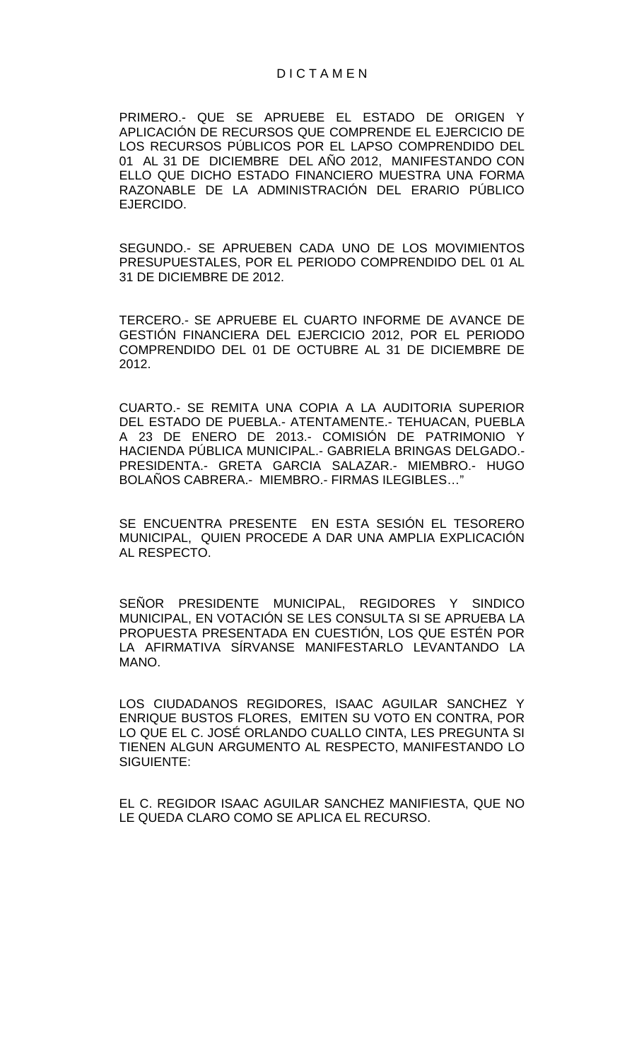PRIMERO.- QUE SE APRUEBE EL ESTADO DE ORIGEN Y APLICACIÓN DE RECURSOS QUE COMPRENDE EL EJERCICIO DE LOS RECURSOS PÚBLICOS POR EL LAPSO COMPRENDIDO DEL 01 AL 31 DE DICIEMBRE DEL AÑO 2012, MANIFESTANDO CON ELLO QUE DICHO ESTADO FINANCIERO MUESTRA UNA FORMA RAZONABLE DE LA ADMINISTRACIÓN DEL ERARIO PÚBLICO EJERCIDO.

SEGUNDO.- SE APRUEBEN CADA UNO DE LOS MOVIMIENTOS PRESUPUESTALES, POR EL PERIODO COMPRENDIDO DEL 01 AL 31 DE DICIEMBRE DE 2012.

TERCERO.- SE APRUEBE EL CUARTO INFORME DE AVANCE DE GESTIÓN FINANCIERA DEL EJERCICIO 2012, POR EL PERIODO COMPRENDIDO DEL 01 DE OCTUBRE AL 31 DE DICIEMBRE DE 2012.

CUARTO.- SE REMITA UNA COPIA A LA AUDITORIA SUPERIOR DEL ESTADO DE PUEBLA.- ATENTAMENTE.- TEHUACAN, PUEBLA A 23 DE ENERO DE 2013.- COMISIÓN DE PATRIMONIO Y HACIENDA PÚBLICA MUNICIPAL.- GABRIELA BRINGAS DELGADO.- PRESIDENTA.- GRETA GARCIA SALAZAR.- MIEMBRO.- HUGO BOLAÑOS CABRERA.- MIEMBRO.- FIRMAS ILEGIBLES…"

SE ENCUENTRA PRESENTE EN ESTA SESIÓN EL TESORERO MUNICIPAL, QUIEN PROCEDE A DAR UNA AMPLIA EXPLICACIÓN AL RESPECTO.

SEÑOR PRESIDENTE MUNICIPAL, REGIDORES Y SINDICO MUNICIPAL, EN VOTACIÓN SE LES CONSULTA SI SE APRUEBA LA PROPUESTA PRESENTADA EN CUESTIÓN, LOS QUE ESTÉN POR LA AFIRMATIVA SÍRVANSE MANIFESTARLO LEVANTANDO LA MANO.

LOS CIUDADANOS REGIDORES, ISAAC AGUILAR SANCHEZ Y ENRIQUE BUSTOS FLORES, EMITEN SU VOTO EN CONTRA, POR LO QUE EL C. JOSÉ ORLANDO CUALLO CINTA, LES PREGUNTA SI TIENEN ALGUN ARGUMENTO AL RESPECTO, MANIFESTANDO LO SIGUIENTE:

EL C. REGIDOR ISAAC AGUILAR SANCHEZ MANIFIESTA, QUE NO LE QUEDA CLARO COMO SE APLICA EL RECURSO.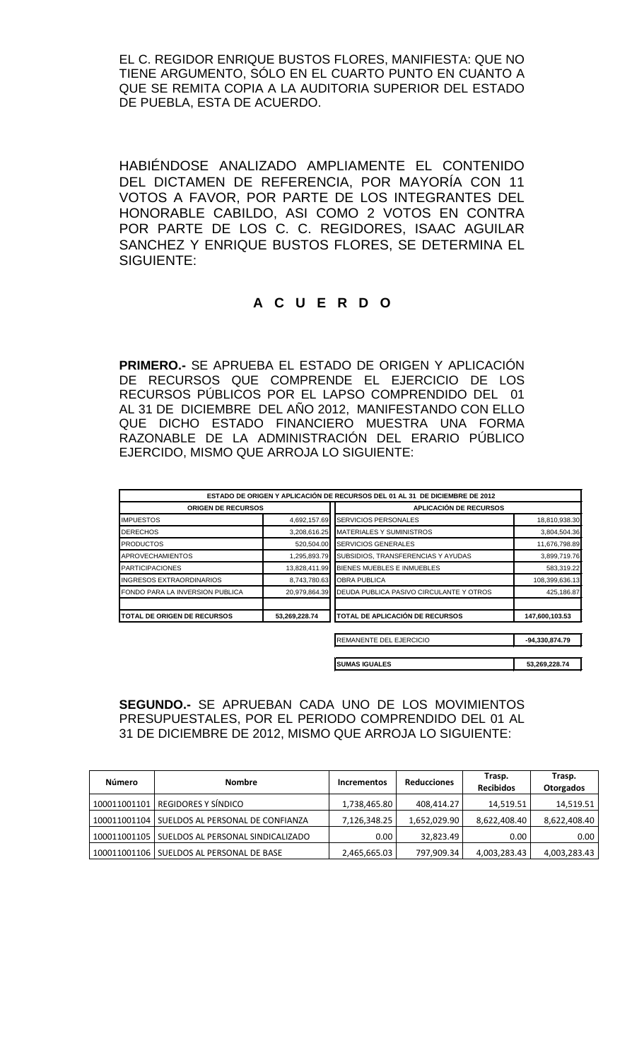EL C. REGIDOR ENRIQUE BUSTOS FLORES, MANIFIESTA: QUE NO TIENE ARGUMENTO, SÓLO EN EL CUARTO PUNTO EN CUANTO A QUE SE REMITA COPIA A LA AUDITORIA SUPERIOR DEL ESTADO DE PUEBLA, ESTA DE ACUERDO.

HABIÉNDOSE ANALIZADO AMPLIAMENTE EL CONTENIDO DEL DICTAMEN DE REFERENCIA, POR MAYORÍA CON 11 VOTOS A FAVOR, POR PARTE DE LOS INTEGRANTES DEL HONORABLE CABILDO, ASI COMO 2 VOTOS EN CONTRA POR PARTE DE LOS C. C. REGIDORES, ISAAC AGUILAR SANCHEZ Y ENRIQUE BUSTOS FLORES, SE DETERMINA EL SIGUIENTE:

# **A C U E R D O**

**PRIMERO.-** SE APRUEBA EL ESTADO DE ORIGEN Y APLICACIÓN DE RECURSOS QUE COMPRENDE EL EJERCICIO DE LOS RECURSOS PÚBLICOS POR EL LAPSO COMPRENDIDO DEL 01 AL 31 DE DICIEMBRE DEL AÑO 2012, MANIFESTANDO CON ELLO QUE DICHO ESTADO FINANCIERO MUESTRA UNA FORMA RAZONABLE DE LA ADMINISTRACIÓN DEL ERARIO PÚBLICO EJERCIDO, MISMO QUE ARROJA LO SIGUIENTE:

|                                    |               | ESTADO DE ORIGEN Y APLICACIÓN DE RECURSOS DEL 01 AL 31 DE DICIEMBRE DE 2012 |                |
|------------------------------------|---------------|-----------------------------------------------------------------------------|----------------|
| <b>ORIGEN DE RECURSOS</b>          |               | <b>APLICACIÓN DE RECURSOS</b>                                               |                |
| <b>IMPUESTOS</b>                   | 4,692,157.69  | <b>SERVICIOS PERSONALES</b>                                                 | 18,810,938.30  |
| <b>DERECHOS</b>                    | 3,208,616.25  | <b>MATERIALES Y SUMINISTROS</b>                                             | 3,804,504.36   |
| <b>PRODUCTOS</b>                   | 520,504.00    | <b>SERVICIOS GENERALES</b>                                                  | 11,676,798.89  |
| <b>APROVECHAMIENTOS</b>            | 1,295,893.79  | SUBSIDIOS, TRANSFERENCIAS Y AYUDAS                                          | 3,899,719.76   |
| <b>PARTICIPACIONES</b>             | 13,828,411.99 | BIENES MUEBLES E INMUEBLES                                                  | 583,319.22     |
| <b>INGRESOS EXTRAORDINARIOS</b>    | 8,743,780.63  | <b>OBRA PUBLICA</b>                                                         | 108,399,636.13 |
| FONDO PARA LA INVERSION PUBLICA    | 20,979,864.39 | DEUDA PUBLICA PASIVO CIRCULANTE Y OTROS                                     | 425,186.87     |
| <b>TOTAL DE ORIGEN DE RECURSOS</b> | 53,269,228.74 | TOTAL DE APLICACIÓN DE RECURSOS                                             | 147,600,103.53 |
|                                    |               | REMANENTE DEL EJERCICIO                                                     | -94,330,874.79 |
|                                    |               | <b>SUMAS IGUALES</b>                                                        | 53,269,228.74  |

### **SEGUNDO.-** SE APRUEBAN CADA UNO DE LOS MOVIMIENTOS PRESUPUESTALES, POR EL PERIODO COMPRENDIDO DEL 01 AL 31 DE DICIEMBRE DE 2012, MISMO QUE ARROJA LO SIGUIENTE:

| Número       | <b>Nombre</b>                      | <b>Incrementos</b> | <b>Reducciones</b> | Trasp.<br><b>Recibidos</b> | Trasp.<br>Otorgados |
|--------------|------------------------------------|--------------------|--------------------|----------------------------|---------------------|
| 100011001101 | REGIDORES Y SÍNDICO                | 1,738,465.80       | 408,414.27         | 14,519.51                  | 14,519.51           |
| 100011001104 | SUELDOS AL PERSONAL DE CONFIANZA   | 7,126,348.25       | 1,652,029.90       | 8,622,408.40               | 8,622,408.40        |
| 100011001105 | SUELDOS AL PERSONAL SINDICALIZADO  | 0.00               | 32,823.49          | 0.00                       | 0.00                |
| 100011001106 | <b>SUELDOS AL PERSONAL DE BASE</b> | 2,465,665.03       | 797,909.34         | 4,003,283.43               | 4,003,283.43        |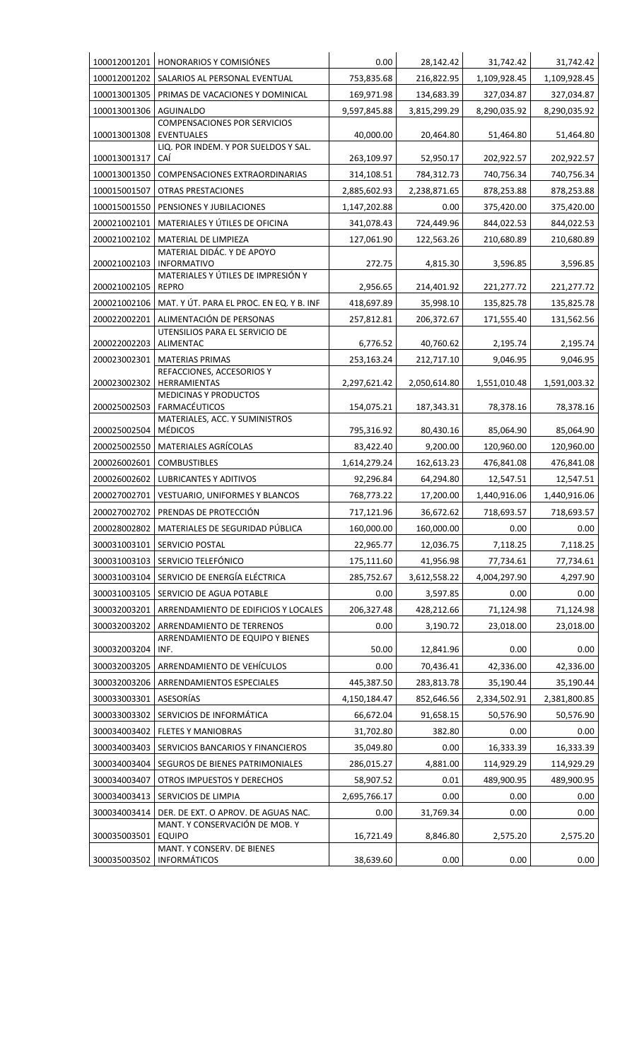|              | 100012001201   HONORARIOS Y COMISIÓNES                   | 0.00         | 28,142.42    | 31,742.42    | 31,742.42    |
|--------------|----------------------------------------------------------|--------------|--------------|--------------|--------------|
| 100012001202 | SALARIOS AL PERSONAL EVENTUAL                            | 753,835.68   | 216,822.95   | 1,109,928.45 | 1,109,928.45 |
| 100013001305 | PRIMAS DE VACACIONES Y DOMINICAL                         | 169,971.98   | 134,683.39   | 327,034.87   | 327,034.87   |
| 100013001306 | <b>AGUINALDO</b>                                         | 9,597,845.88 | 3,815,299.29 | 8,290,035.92 | 8,290,035.92 |
| 100013001308 | <b>COMPENSACIONES POR SERVICIOS</b><br><b>EVENTUALES</b> | 40,000.00    | 20,464.80    | 51,464.80    | 51,464.80    |
| 100013001317 | LIQ. POR INDEM. Y POR SUELDOS Y SAL.<br>CAÍ              | 263,109.97   | 52,950.17    | 202,922.57   | 202,922.57   |
| 100013001350 | COMPENSACIONES EXTRAORDINARIAS                           | 314,108.51   | 784,312.73   | 740,756.34   | 740,756.34   |
| 100015001507 | <b>OTRAS PRESTACIONES</b>                                | 2,885,602.93 | 2,238,871.65 | 878,253.88   | 878,253.88   |
| 100015001550 | PENSIONES Y JUBILACIONES                                 | 1,147,202.88 | 0.00         | 375,420.00   | 375,420.00   |
| 200021002101 | MATERIALES Y ÚTILES DE OFICINA                           | 341,078.43   | 724,449.96   | 844,022.53   | 844,022.53   |
| 200021002102 | MATERIAL DE LIMPIEZA                                     | 127,061.90   | 122,563.26   | 210,680.89   | 210,680.89   |
| 200021002103 | MATERIAL DIDÁC. Y DE APOYO<br><b>INFORMATIVO</b>         | 272.75       | 4,815.30     | 3,596.85     | 3,596.85     |
| 200021002105 | MATERIALES Y ÚTILES DE IMPRESIÓN Y<br><b>REPRO</b>       | 2,956.65     | 214,401.92   | 221,277.72   | 221,277.72   |
| 200021002106 | MAT. Y ÚT. PARA EL PROC. EN EQ. Y B. INF                 | 418,697.89   | 35,998.10    | 135,825.78   | 135,825.78   |
| 200022002201 | ALIMENTACIÓN DE PERSONAS                                 | 257,812.81   | 206,372.67   | 171,555.40   | 131,562.56   |
| 200022002203 | UTENSILIOS PARA EL SERVICIO DE<br>ALIMENTAC              | 6,776.52     | 40,760.62    | 2,195.74     | 2,195.74     |
| 200023002301 | <b>MATERIAS PRIMAS</b>                                   | 253,163.24   | 212,717.10   | 9,046.95     | 9,046.95     |
|              | REFACCIONES, ACCESORIOS Y                                |              |              |              |              |
| 200023002302 | HERRAMIENTAS<br><b>MEDICINAS Y PRODUCTOS</b>             | 2,297,621.42 | 2,050,614.80 | 1,551,010.48 | 1,591,003.32 |
| 200025002503 | FARMACÉUTICOS<br>MATERIALES, ACC. Y SUMINISTROS          | 154,075.21   | 187,343.31   | 78,378.16    | 78,378.16    |
| 200025002504 | <b>MÉDICOS</b>                                           | 795,316.92   | 80,430.16    | 85,064.90    | 85,064.90    |
| 200025002550 | MATERIALES AGRÍCOLAS                                     | 83,422.40    | 9,200.00     | 120,960.00   | 120,960.00   |
| 200026002601 | <b>COMBUSTIBLES</b>                                      | 1,614,279.24 | 162,613.23   | 476,841.08   | 476,841.08   |
| 200026002602 | LUBRICANTES Y ADITIVOS                                   | 92,296.84    | 64,294.80    | 12,547.51    | 12,547.51    |
| 200027002701 | VESTUARIO, UNIFORMES Y BLANCOS                           | 768,773.22   | 17,200.00    | 1,440,916.06 | 1,440,916.06 |
| 200027002702 | PRENDAS DE PROTECCIÓN                                    | 717,121.96   | 36,672.62    | 718,693.57   | 718,693.57   |
| 200028002802 | MATERIALES DE SEGURIDAD PÚBLICA                          | 160,000.00   | 160,000.00   | 0.00         | 0.00         |
| 300031003101 | SERVICIO POSTAL                                          | 22,965.77    | 12,036.75    | 7,118.25     | 7,118.25     |
| 300031003103 | SERVICIO TELEFÓNICO                                      | 175,111.60   | 41,956.98    | 77,734.61    | 77,734.61    |
| 300031003104 | SERVICIO DE ENERGÍA ELÉCTRICA                            | 285,752.67   | 3,612,558.22 | 4,004,297.90 | 4,297.90     |
| 300031003105 | SERVICIO DE AGUA POTABLE                                 | 0.00         | 3,597.85     | 0.00         | 0.00         |
| 300032003201 | ARRENDAMIENTO DE EDIFICIOS Y LOCALES                     | 206,327.48   | 428,212.66   | 71,124.98    | 71,124.98    |
| 300032003202 | ARRENDAMIENTO DE TERRENOS                                | 0.00         | 3,190.72     | 23,018.00    | 23,018.00    |
| 300032003204 | ARRENDAMIENTO DE EQUIPO Y BIENES<br>INF.                 | 50.00        | 12,841.96    | 0.00         | 0.00         |
| 300032003205 | ARRENDAMIENTO DE VEHÍCULOS                               | 0.00         | 70,436.41    | 42,336.00    | 42,336.00    |
| 300032003206 | ARRENDAMIENTOS ESPECIALES                                | 445,387.50   | 283,813.78   | 35,190.44    | 35,190.44    |
| 300033003301 | ASESORÍAS                                                | 4,150,184.47 | 852,646.56   | 2,334,502.91 | 2,381,800.85 |
| 300033003302 | SERVICIOS DE INFORMÁTICA                                 | 66,672.04    | 91,658.15    | 50,576.90    | 50,576.90    |
| 300034003402 | <b>FLETES Y MANIOBRAS</b>                                | 31,702.80    | 382.80       | 0.00         | 0.00         |
| 300034003403 | SERVICIOS BANCARIOS Y FINANCIEROS                        | 35,049.80    | 0.00         | 16,333.39    | 16,333.39    |
| 300034003404 | SEGUROS DE BIENES PATRIMONIALES                          | 286,015.27   | 4,881.00     | 114,929.29   | 114,929.29   |
| 300034003407 | OTROS IMPUESTOS Y DERECHOS                               | 58,907.52    | 0.01         | 489,900.95   | 489,900.95   |
| 300034003413 | SERVICIOS DE LIMPIA                                      | 2,695,766.17 | 0.00         | 0.00         | 0.00         |
| 300034003414 | DER. DE EXT. O APROV. DE AGUAS NAC.                      | 0.00         | 31,769.34    | 0.00         | 0.00         |
| 300035003501 | MANT. Y CONSERVACIÓN DE MOB. Y<br><b>EQUIPO</b>          | 16,721.49    | 8,846.80     | 2,575.20     | 2,575.20     |
| 300035003502 | MANT. Y CONSERV. DE BIENES<br><b>INFORMÁTICOS</b>        | 38,639.60    | 0.00         | 0.00         | 0.00         |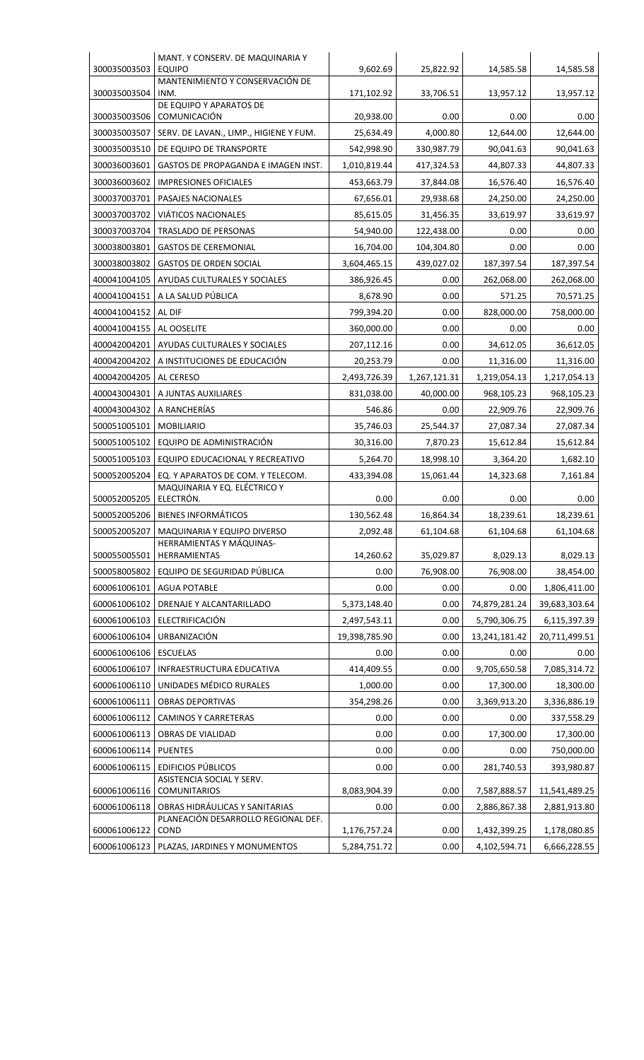|              | MANT. Y CONSERV. DE MAQUINARIA Y                                      |               |              |               |               |
|--------------|-----------------------------------------------------------------------|---------------|--------------|---------------|---------------|
| 300035003503 | <b>EQUIPO</b>                                                         | 9,602.69      | 25,822.92    | 14,585.58     | 14,585.58     |
| 300035003504 | MANTENIMIENTO Y CONSERVACIÓN DE<br>INM.                               | 171,102.92    | 33,706.51    | 13,957.12     | 13,957.12     |
| 300035003506 | DE EQUIPO Y APARATOS DE<br>COMUNICACIÓN                               | 20,938.00     | 0.00         | 0.00          | 0.00          |
| 300035003507 | SERV. DE LAVAN., LIMP., HIGIENE Y FUM.                                | 25,634.49     | 4,000.80     | 12,644.00     | 12,644.00     |
| 300035003510 | DE EQUIPO DE TRANSPORTE                                               | 542,998.90    | 330,987.79   | 90,041.63     | 90,041.63     |
| 300036003601 | GASTOS DE PROPAGANDA E IMAGEN INST.                                   | 1,010,819.44  | 417,324.53   | 44,807.33     | 44,807.33     |
| 300036003602 | <b>IMPRESIONES OFICIALES</b>                                          |               | 37,844.08    |               |               |
| 300037003701 |                                                                       | 453,663.79    |              | 16,576.40     | 16,576.40     |
|              | PASAJES NACIONALES                                                    | 67,656.01     | 29,938.68    | 24,250.00     | 24,250.00     |
| 300037003702 | VIÁTICOS NACIONALES                                                   | 85,615.05     | 31,456.35    | 33,619.97     | 33,619.97     |
| 300037003704 | TRASLADO DE PERSONAS                                                  | 54,940.00     | 122,438.00   | 0.00          | 0.00          |
| 300038003801 | <b>GASTOS DE CEREMONIAL</b>                                           | 16,704.00     | 104,304.80   | 0.00          | 0.00          |
| 300038003802 | <b>GASTOS DE ORDEN SOCIAL</b>                                         | 3,604,465.15  | 439,027.02   | 187,397.54    | 187,397.54    |
| 400041004105 | AYUDAS CULTURALES Y SOCIALES                                          | 386,926.45    | 0.00         | 262,068.00    | 262,068.00    |
| 400041004151 | A LA SALUD PÚBLICA                                                    | 8,678.90      | 0.00         | 571.25        | 70,571.25     |
| 400041004152 | AL DIF                                                                | 799,394.20    | 0.00         | 828,000.00    | 758,000.00    |
| 400041004155 | AL OOSELITE                                                           | 360,000.00    | 0.00         | 0.00          | 0.00          |
| 400042004201 | AYUDAS CULTURALES Y SOCIALES                                          | 207,112.16    | 0.00         | 34,612.05     | 36,612.05     |
| 400042004202 | A INSTITUCIONES DE EDUCACIÓN                                          | 20,253.79     | 0.00         | 11,316.00     | 11,316.00     |
| 400042004205 | AL CERESO                                                             | 2,493,726.39  | 1,267,121.31 | 1,219,054.13  | 1,217,054.13  |
| 400043004301 | A JUNTAS AUXILIARES                                                   | 831,038.00    | 40,000.00    | 968,105.23    | 968,105.23    |
| 400043004302 | A RANCHERÍAS                                                          | 546.86        | 0.00         | 22,909.76     | 22,909.76     |
| 500051005101 | <b>MOBILIARIO</b>                                                     | 35,746.03     | 25,544.37    | 27,087.34     | 27,087.34     |
| 500051005102 | EQUIPO DE ADMINISTRACIÓN                                              | 30,316.00     | 7,870.23     | 15,612.84     | 15,612.84     |
| 500051005103 | EQUIPO EDUCACIONAL Y RECREATIVO                                       | 5,264.70      | 18,998.10    | 3,364.20      | 1,682.10      |
| 500052005204 | EQ. Y APARATOS DE COM. Y TELECOM.                                     | 433,394.08    | 15,061.44    | 14,323.68     | 7,161.84      |
| 500052005205 | MAQUINARIA Y EQ. ELÉCTRICO Y<br>ELECTRÓN.                             | 0.00          | 0.00         | 0.00          | 0.00          |
| 500052005206 | <b>BIENES INFORMÁTICOS</b>                                            | 130,562.48    | 16,864.34    | 18,239.61     | 18,239.61     |
| 500052005207 | MAQUINARIA Y EQUIPO DIVERSO                                           | 2,092.48      | 61,104.68    | 61,104.68     | 61,104.68     |
| 500055005501 | HERRAMIENTAS Y MÁQUINAS-<br>HERRAMIENTAS                              | 14,260.62     | 35,029.87    | 8,029.13      | 8,029.13      |
| 500058005802 | EQUIPO DE SEGURIDAD PÚBLICA                                           | 0.00          | 76,908.00    | 76,908.00     | 38,454.00     |
| 600061006101 | <b>AGUA POTABLE</b>                                                   | 0.00          | 0.00         | 0.00          | 1,806,411.00  |
| 600061006102 | DRENAJE Y ALCANTARILLADO                                              | 5,373,148.40  | 0.00         | 74,879,281.24 | 39,683,303.64 |
| 600061006103 | ELECTRIFICACIÓN                                                       | 2,497,543.11  | 0.00         | 5,790,306.75  | 6,115,397.39  |
| 600061006104 | URBANIZACIÓN                                                          | 19,398,785.90 | 0.00         | 13,241,181.42 | 20,711,499.51 |
| 600061006106 | <b>ESCUELAS</b>                                                       | 0.00          | 0.00         | 0.00          | $0.00\,$      |
| 600061006107 | INFRAESTRUCTURA EDUCATIVA                                             | 414,409.55    | 0.00         | 9,705,650.58  | 7,085,314.72  |
| 600061006110 | UNIDADES MÉDICO RURALES                                               | 1,000.00      | 0.00         | 17,300.00     | 18,300.00     |
| 600061006111 | <b>OBRAS DEPORTIVAS</b>                                               | 354,298.26    | 0.00         | 3,369,913.20  | 3,336,886.19  |
| 600061006112 | <b>CAMINOS Y CARRETERAS</b>                                           | 0.00          | 0.00         | 0.00          | 337,558.29    |
| 600061006113 | OBRAS DE VIALIDAD                                                     | 0.00          | 0.00         | 17,300.00     | 17,300.00     |
| 600061006114 | <b>PUENTES</b>                                                        | 0.00          | 0.00         | 0.00          | 750,000.00    |
| 600061006115 | <b>EDIFICIOS PÚBLICOS</b>                                             | 0.00          | 0.00         | 281,740.53    | 393,980.87    |
|              | ASISTENCIA SOCIAL Y SERV.                                             |               |              |               |               |
| 600061006116 | <b>COMUNITARIOS</b>                                                   | 8,083,904.39  | 0.00         | 7,587,888.57  | 11,541,489.25 |
| 600061006118 | OBRAS HIDRÁULICAS Y SANITARIAS<br>PLANEACIÓN DESARROLLO REGIONAL DEF. | 0.00          | 0.00         | 2,886,867.38  | 2,881,913.80  |
| 600061006122 | COND                                                                  | 1,176,757.24  | 0.00         | 1,432,399.25  | 1,178,080.85  |
| 600061006123 | PLAZAS, JARDINES Y MONUMENTOS                                         | 5,284,751.72  | 0.00         | 4,102,594.71  | 6,666,228.55  |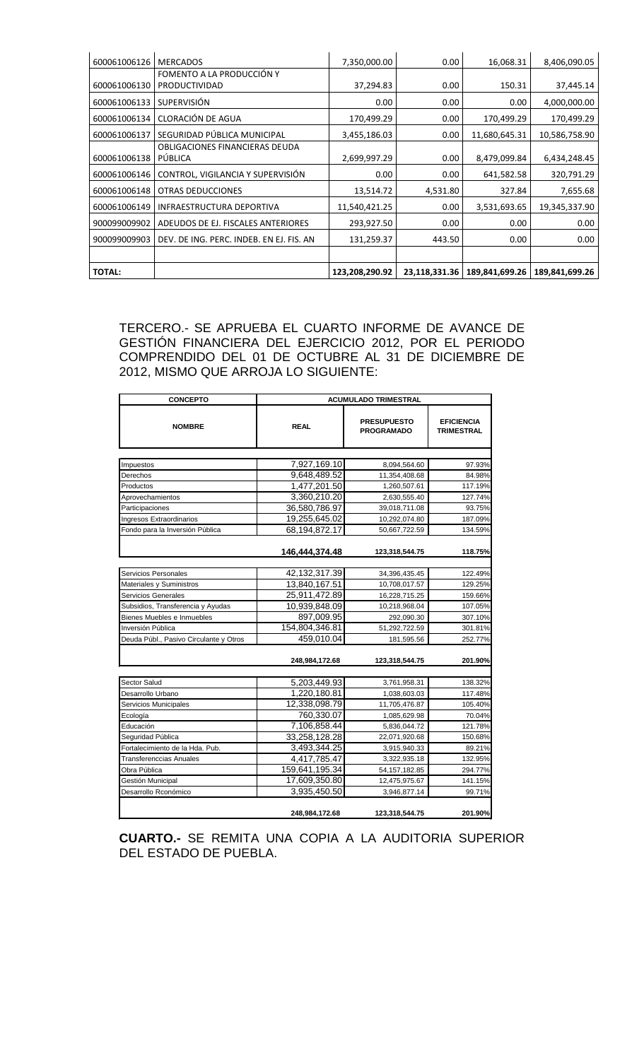| 600061006126  | <b>MERCADOS</b>                          | 7,350,000.00   | 0.00     | 16,068.31                      | 8,406,090.05   |
|---------------|------------------------------------------|----------------|----------|--------------------------------|----------------|
|               | FOMENTO A LA PRODUCCIÓN Y                |                |          |                                |                |
| 600061006130  | <b>PRODUCTIVIDAD</b>                     | 37,294.83      | 0.00     | 150.31                         | 37,445.14      |
| 600061006133  | <b>SUPERVISIÓN</b>                       | 0.00           | 0.00     | 0.00                           | 4,000,000.00   |
| 600061006134  | CLORACIÓN DE AGUA                        | 170,499.29     | 0.00     | 170,499.29                     | 170,499.29     |
| 600061006137  | SEGURIDAD PÚBLICA MUNICIPAL              | 3,455,186.03   | 0.00     | 11,680,645.31                  | 10,586,758.90  |
|               | OBLIGACIONES FINANCIERAS DEUDA           |                |          |                                |                |
| 600061006138  | PÚBLICA                                  | 2,699,997.29   | 0.00     | 8,479,099.84                   | 6,434,248.45   |
| 600061006146  | CONTROL, VIGILANCIA Y SUPERVISIÓN        | 0.00           | 0.00     | 641,582.58                     | 320,791.29     |
| 600061006148  | OTRAS DEDUCCIONES                        | 13,514.72      | 4,531.80 | 327.84                         | 7,655.68       |
| 600061006149  | INFRAESTRUCTURA DEPORTIVA                | 11,540,421.25  | 0.00     | 3,531,693.65                   | 19,345,337.90  |
| 900099009902  | ADEUDOS DE EJ. FISCALES ANTERIORES       | 293,927.50     | 0.00     | 0.00                           | 0.00           |
| 900099009903  | DEV. DE ING. PERC. INDEB. EN EJ. FIS. AN | 131,259.37     | 443.50   | 0.00                           | 0.00           |
|               |                                          |                |          |                                |                |
| <b>TOTAL:</b> |                                          | 123,208,290.92 |          | 23,118,331.36   189,841,699.26 | 189,841,699.26 |

TERCERO.- SE APRUEBA EL CUARTO INFORME DE AVANCE DE GESTIÓN FINANCIERA DEL EJERCICIO 2012, POR EL PERIODO COMPRENDIDO DEL 01 DE OCTUBRE AL 31 DE DICIEMBRE DE 2012, MISMO QUE ARROJA LO SIGUIENTE:

| <b>CONCEPTO</b>                        | <b>ACUMULADO TRIMESTRAL</b> |                                         |                                        |  |
|----------------------------------------|-----------------------------|-----------------------------------------|----------------------------------------|--|
| <b>NOMBRE</b>                          | <b>REAL</b>                 | <b>PRESUPUESTO</b><br><b>PROGRAMADO</b> | <b>EFICIENCIA</b><br><b>TRIMESTRAL</b> |  |
|                                        |                             |                                         |                                        |  |
| Impuestos                              | 7,927,169.10                | 8,094,564.60                            | 97.93%                                 |  |
| Derechos                               | 9,648,489.52                | 11,354,408.68                           | 84.98%                                 |  |
| Productos                              | 1,477,201.50                | 1,260,507.61                            | 117.19%                                |  |
| Aprovechamientos                       | 3,360,210.20                | 2,630,555.40                            | 127.74%                                |  |
| Participaciones                        | 36,580,786.97               | 39,018,711.08                           | 93.75%                                 |  |
| Ingresos Extraordinarios               | 19,255,645.02               | 10,292,074.80                           | 187.09%                                |  |
| Fondo para la Inversión Pública        | 68,194,872.17               | 50,667,722.59                           | 134.59%                                |  |
|                                        | 146,444,374.48              | 123,318,544.75                          | 118.75%                                |  |
|                                        |                             |                                         |                                        |  |
| Servicios Personales                   | 42,132,317.39               | 34,396,435.45                           | 122.49%                                |  |
| Materiales y Suministros               | 13,840,167.51               | 10,708,017.57                           | 129.25%                                |  |
| Servicios Generales                    | 25,911,472.89               | 16,228,715.25                           | 159.66%                                |  |
| Subsidios, Transferencia y Ayudas      | 10,939,848.09               | 10,218,968.04                           | 107.05%                                |  |
| Bienes Muebles e Inmuebles             | 897,009.95                  | 292,090.30                              | 307.10%                                |  |
| Inversión Pública                      | 154,804,346.81              | 51,292,722.59                           | 301.81%                                |  |
| Deuda Públ., Pasivo Circulante y Otros | 459.010.04                  | 181,595.56                              | 252.77%                                |  |
|                                        | 248,984,172.68              | 123,318,544.75                          | 201.90%                                |  |
| Sector Salud                           | 5,203,449.93                | 3,761,958.31                            | 138.32%                                |  |
| Desarrollo Urbano                      | 1,220,180.81                | 1,038,603.03                            | 117.48%                                |  |
| Servicios Municipales                  | 12,338,098.79               | 11,705,476.87                           | 105.40%                                |  |
| Ecología                               | 760,330.07                  | 1,085,629.98                            | 70.04%                                 |  |
| Educación                              | 7.106.858.44                | 5,836,044.72                            | 121.78%                                |  |
| Seguridad Pública                      | 33,258,128.28               | 22,071,920.68                           | 150.68%                                |  |
| Fortalecimiento de la Hda. Pub.        | 3,493,344.25                | 3,915,940.33                            | 89.21%                                 |  |
| <b>Transferenccias Anuales</b>         | 4,417,785.47                | 3,322,935.18                            | 132.95%                                |  |
| Obra Pública                           | 159,641,195.34              | 54, 157, 182.85                         | 294.77%                                |  |
| Gestión Municipal                      | 17,609,350.80               | 12,475,975.67                           | 141.15%                                |  |
| Desarrollo Rconómico                   | 3,935,450.50                | 3,946,877.14                            | 99.71%                                 |  |
|                                        | 248,984,172.68              | 123,318,544.75                          | 201.90%                                |  |

**CUARTO.-** SE REMITA UNA COPIA A LA AUDITORIA SUPERIOR DEL ESTADO DE PUEBLA.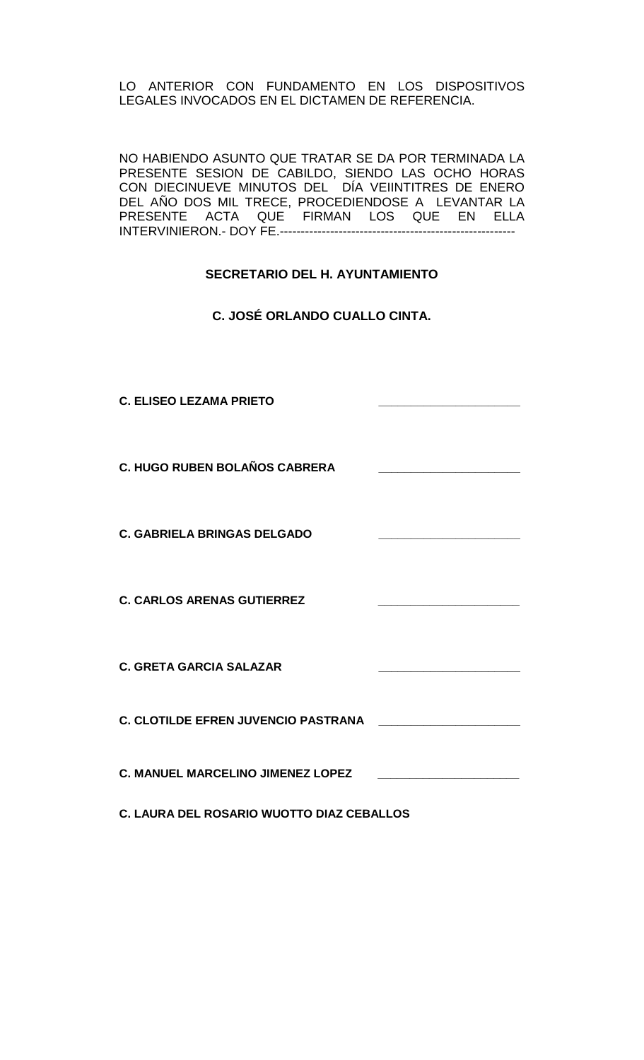LO ANTERIOR CON FUNDAMENTO EN LOS DISPOSITIVOS LEGALES INVOCADOS EN EL DICTAMEN DE REFERENCIA.

NO HABIENDO ASUNTO QUE TRATAR SE DA POR TERMINADA LA PRESENTE SESION DE CABILDO, SIENDO LAS OCHO HORAS CON DIECINUEVE MINUTOS DEL DÍA VEIINTITRES DE ENERO DEL AÑO DOS MIL TRECE, PROCEDIENDOSE A LEVANTAR LA PRESENTE ACTA QUE FIRMAN LOS QUE EN ELLA INTERVINIERON.- DOY FE.--------------------------------------------------------

# **SECRETARIO DEL H. AYUNTAMIENTO**

**C. JOSÉ ORLANDO CUALLO CINTA.**

**C. ELISEO LEZAMA PRIETO \_\_\_\_\_\_\_\_\_\_\_\_\_\_\_\_\_\_\_\_\_\_ C. HUGO RUBEN BOLAÑOS CABRERA \_\_\_\_\_\_\_\_\_\_\_\_\_\_\_\_\_\_\_\_\_\_ C. GABRIELA BRINGAS DELGADO \_\_\_\_\_\_\_\_\_\_\_\_\_\_\_\_\_\_\_\_\_\_ C. CARLOS ARENAS GUTIERREZ \_\_\_\_\_\_\_\_\_\_\_\_\_\_\_\_\_\_\_\_\_\_ C. GRETA GARCIA SALAZAR \_\_\_\_\_\_\_\_\_\_\_\_\_\_\_\_\_\_\_\_\_\_ C. CLOTILDE EFREN JUVENCIO PASTRANA \_\_\_\_\_\_\_\_\_\_\_\_\_\_\_\_\_\_\_\_\_\_ C. MANUEL MARCELINO JIMENEZ LOPEZ \_\_\_\_\_\_\_\_\_\_\_\_\_\_\_\_\_\_\_\_\_\_**

**C. LAURA DEL ROSARIO WUOTTO DIAZ CEBALLOS**